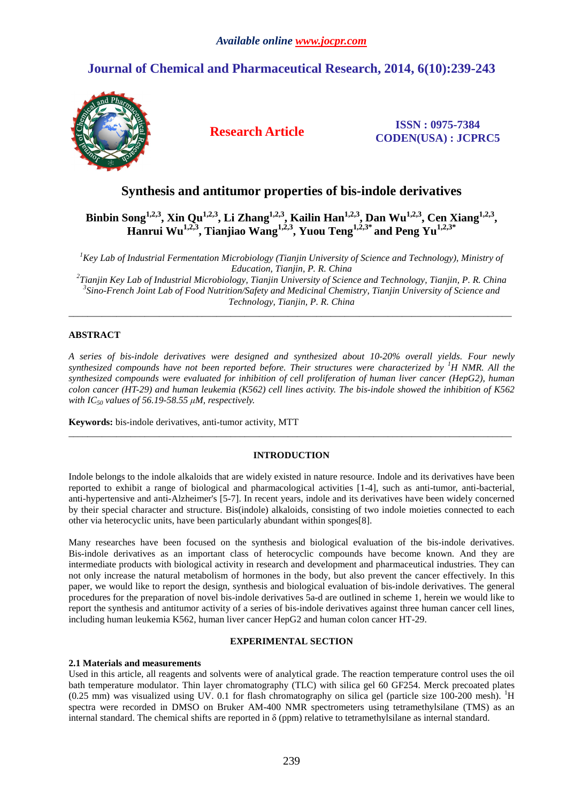# **Journal of Chemical and Pharmaceutical Research, 2014, 6(10):239-243**



**Research Article ISSN : 0975-7384 CODEN(USA) : JCPRC5**

# **Synthesis and antitumor properties of bis-indole derivatives**

**Binbin Song1,2,3, Xin Qu1,2,3, Li Zhang1,2,3, Kailin Han1,2,3, Dan Wu1,2,3, Cen Xiang1,2,3 , Hanrui Wu1,2,3, Tianjiao Wang1,2,3, Yuou Teng1,2,3\* and Peng Yu1,2,3\*** 

<sup>1</sup>*Key Lab of Industrial Fermentation Microbiology (Tianjin University of Science and Technology), Ministry of Education, Tianjin, P. R. China 2 Tianjin Key Lab of Industrial Microbiology, Tianjin University of Science and Technology, Tianjin, P. R. China* 

*3 Sino-French Joint Lab of Food Nutrition/Safety and Medicinal Chemistry, Tianjin University of Science and Technology, Tianjin, P. R. China* 

\_\_\_\_\_\_\_\_\_\_\_\_\_\_\_\_\_\_\_\_\_\_\_\_\_\_\_\_\_\_\_\_\_\_\_\_\_\_\_\_\_\_\_\_\_\_\_\_\_\_\_\_\_\_\_\_\_\_\_\_\_\_\_\_\_\_\_\_\_\_\_\_\_\_\_\_\_\_\_\_\_\_\_\_\_\_\_\_\_\_\_\_\_

# **ABSTRACT**

*A series of bis-indole derivatives were designed and synthesized about 10-20% overall yields. Four newly synthesized compounds have not been reported before. Their structures were characterized by <sup>1</sup>H NMR. All the synthesized compounds were evaluated for inhibition of cell proliferation of human liver cancer (HepG2), human colon cancer (HT-29) and human leukemia (K562) cell lines activity. The bis-indole showed the inhibition of K562 with IC50 values of 56.19-58.55 µM, respectively.* 

**Keywords:** bis-indole derivatives, anti-tumor activity, MTT

# **INTRODUCTION**

\_\_\_\_\_\_\_\_\_\_\_\_\_\_\_\_\_\_\_\_\_\_\_\_\_\_\_\_\_\_\_\_\_\_\_\_\_\_\_\_\_\_\_\_\_\_\_\_\_\_\_\_\_\_\_\_\_\_\_\_\_\_\_\_\_\_\_\_\_\_\_\_\_\_\_\_\_\_\_\_\_\_\_\_\_\_\_\_\_\_\_\_\_

Indole belongs to the indole alkaloids that are widely existed in nature resource. Indole and its derivatives have been reported to exhibit a range of biological and pharmacological activities [1-4], such as anti-tumor, anti-bacterial, anti-hypertensive and anti-Alzheimer's [5-7]. In recent years, indole and its derivatives have been widely concerned by their special character and structure. Bis(indole) alkaloids, consisting of two indole moieties connected to each other via heterocyclic units, have been particularly abundant within sponges[8].

Many researches have been focused on the synthesis and biological evaluation of the bis-indole derivatives. Bis-indole derivatives as an important class of heterocyclic compounds have become known. And they are intermediate products with biological activity in research and development and pharmaceutical industries. They can not only increase the natural metabolism of hormones in the body, but also prevent the cancer effectively. In this paper, we would like to report the design, synthesis and biological evaluation of bis-indole derivatives. The general procedures for the preparation of novel bis-indole derivatives 5a-d are outlined in scheme 1, herein we would like to report the synthesis and antitumor activity of a series of bis-indole derivatives against three human cancer cell lines, including human leukemia K562, human liver cancer HepG2 and human colon cancer HT-29.

## **EXPERIMENTAL SECTION**

#### **2.1 Materials and measurements**

Used in this article, all reagents and solvents were of analytical grade. The reaction temperature control uses the oil bath temperature modulator. Thin layer chromatography (TLC) with silica gel 60 GF254. Merck precoated plates  $(0.25 \text{ mm})$  was visualized using UV. 0.1 for flash chromatography on silica gel (particle size 100-200 mesh). <sup>1</sup>H spectra were recorded in DMSO on Bruker AM-400 NMR spectrometers using tetramethylsilane (TMS) as an internal standard. The chemical shifts are reported in  $\delta$  (ppm) relative to tetramethylsilane as internal standard.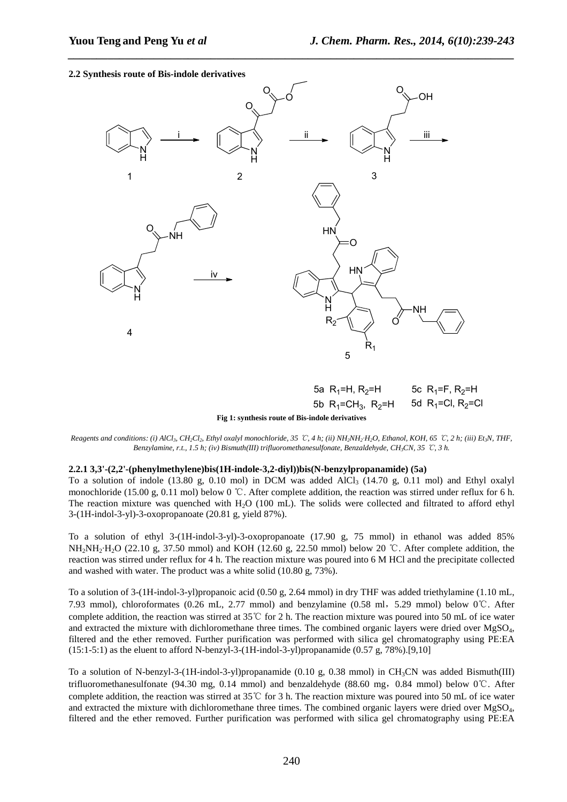#### **2.2 Synthesis route of Bis-indole derivatives**



*\_\_\_\_\_\_\_\_\_\_\_\_\_\_\_\_\_\_\_\_\_\_\_\_\_\_\_\_\_\_\_\_\_\_\_\_\_\_\_\_\_\_\_\_\_\_\_\_\_\_\_\_\_\_\_\_\_\_\_\_\_\_\_\_\_\_\_\_\_\_\_\_\_\_\_\_\_\_*

**Fig 1: synthesis route of Bis-indole derivatives** 

Reagents and conditions: (i) AlCl<sub>3</sub>, CH<sub>2</sub>Cl<sub>2</sub>, Ethyl oxalyl monochloride, 35 °C, 4 h; (ii) NH<sub>2</sub>NH<sub>2</sub>·H<sub>2</sub>O, Ethanol, KOH, 65 °C, 2 h; (iii) Et<sub>3</sub>N, THF, *Benzylamine, r.t., 1.5 h; (iv) Bismuth(III) trifluoromethanesulfonate, Benzaldehyde, CH3CN, 35* ℃*, 3 h.* 

#### **2.2.1 3,3'-(2,2'-(phenylmethylene)bis(1H-indole-3,2-diyl))bis(N-benzylpropanamide) (5a)**

To a solution of indole (13.80 g, 0.10 mol) in DCM was added AlCl<sub>3</sub> (14.70 g, 0.11 mol) and Ethyl oxalyl monochloride (15.00 g, 0.11 mol) below 0 ℃. After complete addition, the reaction was stirred under reflux for 6 h. The reaction mixture was quenched with  $H_2O$  (100 mL). The solids were collected and filtrated to afford ethyl 3-(1H-indol-3-yl)-3-oxopropanoate (20.81 g, yield 87%).

To a solution of ethyl 3-(1H-indol-3-yl)-3-oxopropanoate (17.90 g, 75 mmol) in ethanol was added 85% NH<sub>2</sub>·H<sub>2</sub>O (22.10 g, 37.50 mmol) and KOH (12.60 g, 22.50 mmol) below 20 ℃. After complete addition, the reaction was stirred under reflux for 4 h. The reaction mixture was poured into 6 M HCl and the precipitate collected and washed with water. The product was a white solid (10.80 g, 73%).

To a solution of 3-(1H-indol-3-yl)propanoic acid (0.50 g, 2.64 mmol) in dry THF was added triethylamine (1.10 mL, 7.93 mmol), chloroformates (0.26 mL, 2.77 mmol) and benzylamine (0.58 ml,5.29 mmol) below 0℃. After complete addition, the reaction was stirred at 35℃ for 2 h. The reaction mixture was poured into 50 mL of ice water and extracted the mixture with dichloromethane three times. The combined organic layers were dried over  $MgSO<sub>4</sub>$ , filtered and the ether removed. Further purification was performed with silica gel chromatography using PE:EA (15:1-5:1) as the eluent to afford N-benzyl-3-(1H-indol-3-yl)propanamide (0.57 g, 78%).[9,10]

To a solution of N-benzyl-3-(1H-indol-3-yl)propanamide (0.10 g, 0.38 mmol) in CH<sub>3</sub>CN was added Bismuth(III) trifluoromethanesulfonate (94.30 mg, 0.14 mmol) and benzaldehyde (88.60 mg,0.84 mmol) below 0℃. After complete addition, the reaction was stirred at 35℃ for 3 h. The reaction mixture was poured into 50 mL of ice water and extracted the mixture with dichloromethane three times. The combined organic layers were dried over MgSO4, filtered and the ether removed. Further purification was performed with silica gel chromatography using PE:EA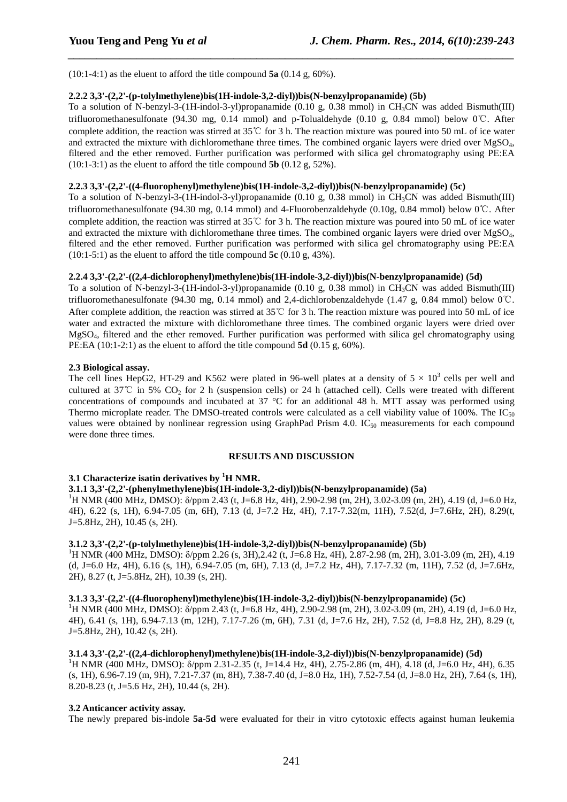(10:1-4:1) as the eluent to afford the title compound **5a** (0.14 g, 60%).

### **2.2.2 3,3'-(2,2'-(p-tolylmethylene)bis(1H-indole-3,2-diyl))bis(N-benzylpropanamide) (5b)**

To a solution of N-benzyl-3-(1H-indol-3-yl)propanamide (0.10 g, 0.38 mmol) in CH<sub>3</sub>CN was added Bismuth(III) trifluoromethanesulfonate (94.30 mg, 0.14 mmol) and p-Tolualdehyde (0.10 g, 0.84 mmol) below 0℃. After complete addition, the reaction was stirred at 35℃ for 3 h. The reaction mixture was poured into 50 mL of ice water and extracted the mixture with dichloromethane three times. The combined organic layers were dried over MgSO<sub>4</sub>, filtered and the ether removed. Further purification was performed with silica gel chromatography using PE:EA (10:1-3:1) as the eluent to afford the title compound **5b** (0.12 g, 52%).

*\_\_\_\_\_\_\_\_\_\_\_\_\_\_\_\_\_\_\_\_\_\_\_\_\_\_\_\_\_\_\_\_\_\_\_\_\_\_\_\_\_\_\_\_\_\_\_\_\_\_\_\_\_\_\_\_\_\_\_\_\_\_\_\_\_\_\_\_\_\_\_\_\_\_\_\_\_\_*

#### **2.2.3 3,3'-(2,2'-((4-fluorophenyl)methylene)bis(1H-indole-3,2-diyl))bis(N-benzylpropanamide) (5c)**

To a solution of N-benzyl-3-(1H-indol-3-yl)propanamide (0.10 g, 0.38 mmol) in CH<sub>3</sub>CN was added Bismuth(III) trifluoromethanesulfonate (94.30 mg, 0.14 mmol) and 4-Fluorobenzaldehyde (0.10g, 0.84 mmol) below 0℃. After complete addition, the reaction was stirred at 35℃ for 3 h. The reaction mixture was poured into 50 mL of ice water and extracted the mixture with dichloromethane three times. The combined organic layers were dried over MgSO4, filtered and the ether removed. Further purification was performed with silica gel chromatography using PE:EA (10:1-5:1) as the eluent to afford the title compound **5c** (0.10 g, 43%).

# **2.2.4 3,3'-(2,2'-((2,4-dichlorophenyl)methylene)bis(1H-indole-3,2-diyl))bis(N-benzylpropanamide) (5d)**

To a solution of N-benzyl-3-(1H-indol-3-yl)propanamide (0.10 g, 0.38 mmol) in CH<sub>3</sub>CN was added Bismuth(III) trifluoromethanesulfonate (94.30 mg, 0.14 mmol) and 2,4-dichlorobenzaldehyde (1.47 g, 0.84 mmol) below 0℃. After complete addition, the reaction was stirred at 35℃ for 3 h. The reaction mixture was poured into 50 mL of ice water and extracted the mixture with dichloromethane three times. The combined organic layers were dried over MgSO4, filtered and the ether removed. Further purification was performed with silica gel chromatography using PE:EA (10:1-2:1) as the eluent to afford the title compound **5d** (0.15 g, 60%).

#### **2.3 Biological assay.**

The cell lines HepG2, HT-29 and K562 were plated in 96-well plates at a density of  $5 \times 10^3$  cells per well and cultured at  $37^{\circ}$  in 5% CO<sub>2</sub> for 2 h (suspension cells) or 24 h (attached cell). Cells were treated with different concentrations of compounds and incubated at 37 °C for an additional 48 h. MTT assay was performed using Thermo microplate reader. The DMSO-treated controls were calculated as a cell viability value of 100%. The IC $_{50}$ values were obtained by nonlinear regression using GraphPad Prism 4.0.  $IC_{50}$  measurements for each compound were done three times.

#### **RESULTS AND DISCUSSION**

# **3.1 Characterize isatin derivatives by <sup>1</sup>H NMR.**

# **3.1.1 3,3'-(2,2'-(phenylmethylene)bis(1H-indole-3,2-diyl))bis(N-benzylpropanamide) (5a)**

<sup>1</sup>H NMR (400 MHz, DMSO): δ/ppm 2.43 (t, J=6.8 Hz, 4H), 2.90-2.98 (m, 2H), 3.02-3.09 (m, 2H), 4.19 (d, J=6.0 Hz, 4H), 6.22 (s, 1H), 6.94-7.05 (m, 6H), 7.13 (d, J=7.2 Hz, 4H), 7.17-7.32(m, 11H), 7.52(d, J=7.6Hz, 2H), 8.29(t, J=5.8Hz, 2H), 10.45 (s, 2H).

#### **3.1.2 3,3'-(2,2'-(p-tolylmethylene)bis(1H-indole-3,2-diyl))bis(N-benzylpropanamide) (5b)**

<sup>1</sup>H NMR (400 MHz, DMSO): δ/ppm 2.26 (s, 3H),2.42 (t, J=6.8 Hz, 4H), 2.87-2.98 (m, 2H), 3.01-3.09 (m, 2H), 4.19 (d, J=6.0 Hz, 4H), 6.16 (s, 1H), 6.94-7.05 (m, 6H), 7.13 (d, J=7.2 Hz, 4H), 7.17-7.32 (m, 11H), 7.52 (d, J=7.6Hz, 2H), 8.27 (t, J=5.8Hz, 2H), 10.39 (s, 2H).

#### **3.1.3 3,3'-(2,2'-((4-fluorophenyl)methylene)bis(1H-indole-3,2-diyl))bis(N-benzylpropanamide) (5c)**

<sup>1</sup>H NMR (400 MHz, DMSO):  $\delta$ /ppm 2.43 (t, J=6.8 Hz, 4H), 2.90-2.98 (m, 2H), 3.02-3.09 (m, 2H), 4.19 (d, J=6.0 Hz, 4H), 6.41 (s, 1H), 6.94-7.13 (m, 12H), 7.17-7.26 (m, 6H), 7.31 (d, J=7.6 Hz, 2H), 7.52 (d, J=8.8 Hz, 2H), 8.29 (t, J=5.8Hz, 2H), 10.42 (s, 2H).

#### **3.1.4 3,3'-(2,2'-((2,4-dichlorophenyl)methylene)bis(1H-indole-3,2-diyl))bis(N-benzylpropanamide) (5d)**

<sup>1</sup>H NMR (400 MHz, DMSO): δ/ppm 2.31-2.35 (t, J=14.4 Hz, 4H), 2.75-2.86 (m, 4H), 4.18 (d, J=6.0 Hz, 4H), 6.35 (s, 1H), 6.96-7.19 (m, 9H), 7.21-7.37 (m, 8H), 7.38-7.40 (d, J=8.0 Hz, 1H), 7.52-7.54 (d, J=8.0 Hz, 2H), 7.64 (s, 1H), 8.20-8.23 (t, J=5.6 Hz, 2H), 10.44 (s, 2H).

#### **3.2 Anticancer activity assay.**

The newly prepared bis-indole **5a**-**5d** were evaluated for their in vitro cytotoxic effects against human leukemia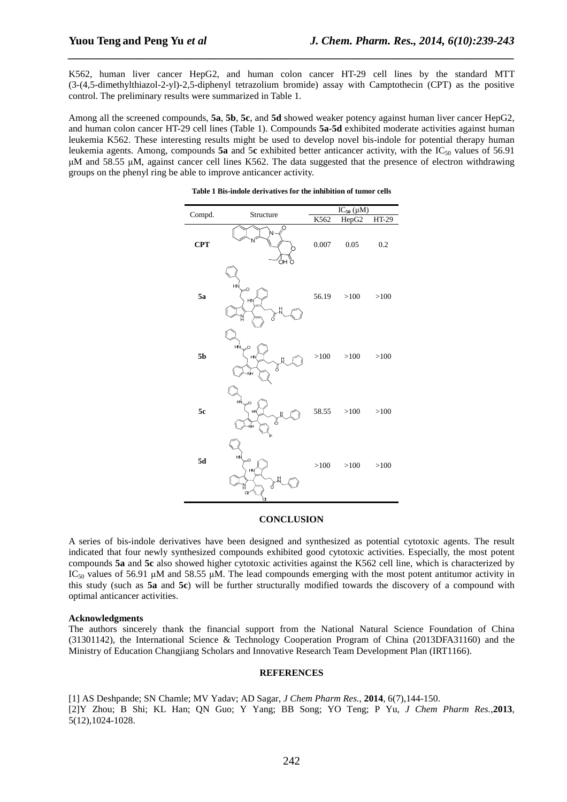K562, human liver cancer HepG2, and human colon cancer HT-29 cell lines by the standard MTT (3-(4,5-dimethylthiazol-2-yl)-2,5-diphenyl tetrazolium bromide) assay with Camptothecin (CPT) as the positive control. The preliminary results were summarized in Table 1.

*\_\_\_\_\_\_\_\_\_\_\_\_\_\_\_\_\_\_\_\_\_\_\_\_\_\_\_\_\_\_\_\_\_\_\_\_\_\_\_\_\_\_\_\_\_\_\_\_\_\_\_\_\_\_\_\_\_\_\_\_\_\_\_\_\_\_\_\_\_\_\_\_\_\_\_\_\_\_*

Among all the screened compounds, **5a**, **5b**, **5c**, and **5d** showed weaker potency against human liver cancer HepG2, and human colon cancer HT-29 cell lines (Table 1). Compounds **5a**-**5d** exhibited moderate activities against human leukemia K562. These interesting results might be used to develop novel bis-indole for potential therapy human leukemia agents. Among, compounds 5a and 5c exhibited better anticancer activity, with the IC<sub>50</sub> values of 56.91 µM and 58.55 µM, against cancer cell lines K562. The data suggested that the presence of electron withdrawing groups on the phenyl ring be able to improve anticancer activity.

|                | Structure                     | $IC_{50} (\mu M)$ |        |              |
|----------------|-------------------------------|-------------------|--------|--------------|
| Compd.         |                               | K562              | HepG2  | <b>HT-29</b> |
| <b>CPT</b>     | O<br>ÓНÒ                      | 0.007             | 0.05   | 0.2          |
| 5a             | HŃ<br>$\geq$<br>HN<br>H<br>Ő  | 56.19             | >100   | >100         |
| 5 <sub>b</sub> | НŃ<br>O<br>HN<br>Ŀ<br>ŃH      | >100              | >100   | >100         |
| 5c             | нŃ<br>O<br>HN<br>н<br>ő<br>ŃH | 58.55             | >100   | >100         |
| ${\bf 5d}$     | HŃ,<br>O<br>HN<br>8<br>å      | $>100$            | $>100$ | >100         |
|                | c                             |                   |        |              |

#### **Table 1 Bis-indole derivatives for the inhibition of tumor cells**

#### **CONCLUSION**

A series of bis-indole derivatives have been designed and synthesized as potential cytotoxic agents. The result indicated that four newly synthesized compounds exhibited good cytotoxic activities. Especially, the most potent compounds **5a** and **5c** also showed higher cytotoxic activities against the K562 cell line, which is characterized by IC<sub>50</sub> values of 56.91  $\mu$ M and 58.55  $\mu$ M. The lead compounds emerging with the most potent antitumor activity in this study (such as **5a** and **5c**) will be further structurally modified towards the discovery of a compound with optimal anticancer activities.

#### **Acknowledgments**

The authors sincerely thank the financial support from the National Natural Science Foundation of China (31301142), the International Science & Technology Cooperation Program of China (2013DFA31160) and the Ministry of Education Changjiang Scholars and Innovative Research Team Development Plan (IRT1166).

#### **REFERENCES**

[1] AS Deshpande; SN Chamle; MV Yadav; AD Sagar, *J Chem Pharm Res.*, **2014**, 6(7),144-150. [2]Y Zhou; B Shi; KL Han; QN Guo; Y Yang; BB Song; YO Teng; P Yu, *J Chem Pharm Res.*,**2013**, 5(12),1024-1028.